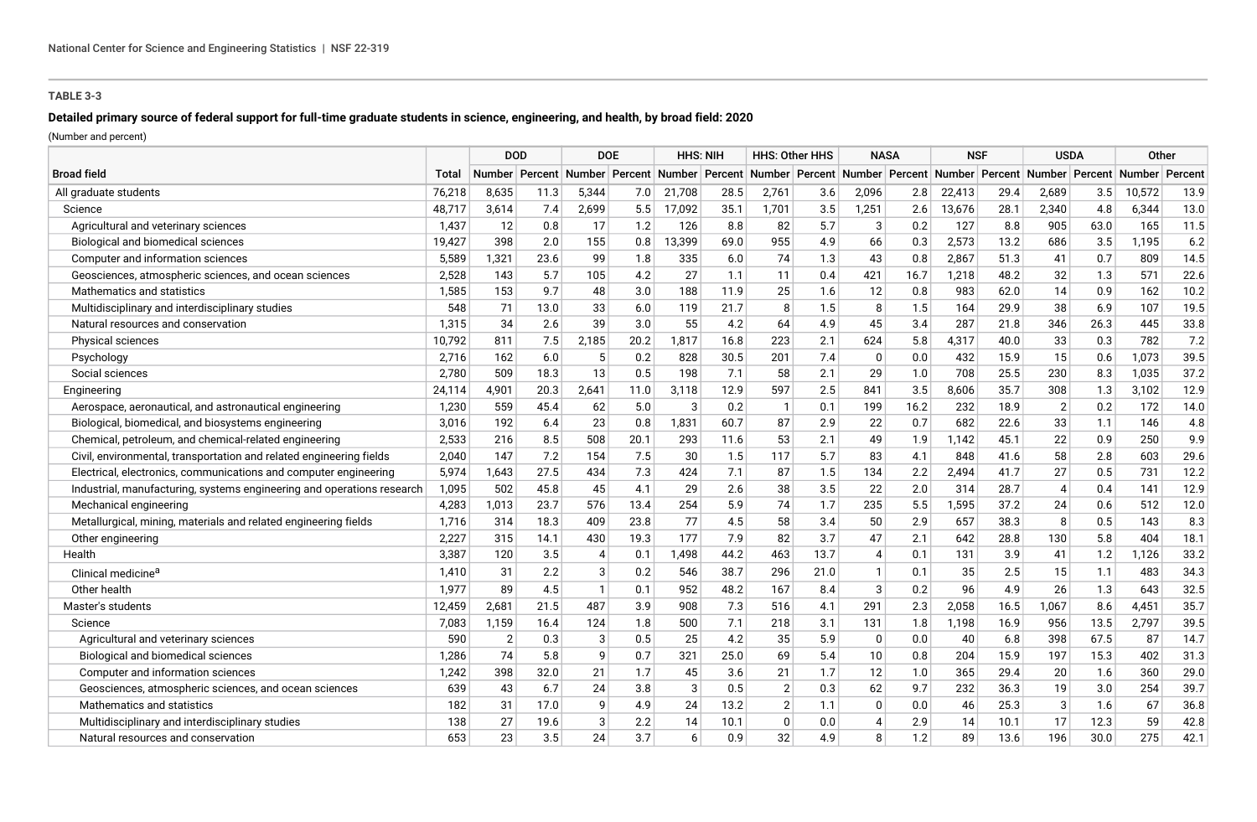## **TABLE 3-3**

# **Detailed primary source of federal support for full-time graduate students in science, engineering, and health, by broad field: 2020**

(Number and percent)

|                                                                        |        | <b>DOD</b>     |                           | <b>DOE</b>     |      | <b>HHS: NIH</b> |      | <b>HHS: Other HHS</b> |      | <b>NASA</b>  |      | <b>NSF</b> |                                                                                           | <b>USDA</b>    |      | Other  |         |
|------------------------------------------------------------------------|--------|----------------|---------------------------|----------------|------|-----------------|------|-----------------------|------|--------------|------|------------|-------------------------------------------------------------------------------------------|----------------|------|--------|---------|
| <b>Broad field</b>                                                     | Total  |                | Number   Percent   Number |                |      |                 |      |                       |      |              |      |            | Percent Number Percent Number Percent Number Percent Number Percent Number Percent Number |                |      |        | Percent |
| All graduate students                                                  | 76,218 | 8,635          | 11.3                      | 5,344          | 7.0  | 21,708          | 28.5 | 2,761                 | 3.6  | 2,096        | 2.8  | 22,413     | 29.4                                                                                      | 2,689          | 3.5  | 10,572 | 13.9    |
| Science                                                                | 48,717 | 3,614          | 7.4                       | 2,699          | 5.5  | 17,092          | 35.1 | 1,701                 | 3.5  | 1,251        | 2.6  | 13,676     | 28.1                                                                                      | 2,340          | 4.8  | 6,344  | 13.0    |
| Agricultural and veterinary sciences                                   | 1,437  | 12             | 0.8                       | 17             | 1.2  | 126             | 8.8  | 82                    | 5.7  | 3            | 0.2  | 127        | 8.8                                                                                       | 905            | 63.0 | 165    | 11.5    |
| Biological and biomedical sciences                                     | 19.427 | 398            | 2.0                       | 155            | 0.8  | 13,399          | 69.0 | 955                   | 4.9  | 66           | 0.3  | 2,573      | 13.2                                                                                      | 686            | 3.5  | 1,195  | 6.2     |
| Computer and information sciences                                      | 5,589  | 1,321          | 23.6                      | 99             | 1.8  | 335             | 6.0  | 74                    | 1.3  | 43           | 0.8  | 2,867      | 51.3                                                                                      | 41             | 0.7  | 809    | 14.5    |
| Geosciences, atmospheric sciences, and ocean sciences                  | 2,528  | 143            | 5.7                       | 105            | 4.2  | 27              | 1.1  | 11                    | 0.4  | 421          | 16.7 | 1,218      | 48.2                                                                                      | 32             | 1.3  | 571    | 22.6    |
| Mathematics and statistics                                             | 1,585  | 153            | 9.7                       | 48             | 3.0  | 188             | 11.9 | 25                    | 1.6  | 12           | 0.8  | 983        | 62.0                                                                                      | 14             | 0.9  | 162    | 10.2    |
| Multidisciplinary and interdisciplinary studies                        | 548    | 71             | 13.0                      | 33             | 6.0  | 119             | 21.7 | 8                     | 1.5  | 8            | 1.5  | 164        | 29.9                                                                                      | 38             | 6.9  | 107    | 19.5    |
| Natural resources and conservation                                     | 1,315  | 34             | 2.6                       | 39             | 3.0  | 55              | 4.2  | 64                    | 4.9  | 45           | 3.4  | 287        | 21.8                                                                                      | 346            | 26.3 | 445    | 33.8    |
| Physical sciences                                                      | 10,792 | 811            | 7.5                       | 2,185          | 20.2 | 1,817           | 16.8 | 223                   | 2.1  | 624          | 5.8  | 4,317      | 40.0                                                                                      | 33             | 0.3  | 782    | 7.2     |
| Psychology                                                             | 2,716  | 162            | 6.0                       | 5              | 0.2  | 828             | 30.5 | 201                   | 7.4  | $\mathbf{0}$ | 0.0  | 432        | 15.9                                                                                      | 15             | 0.6  | 1,073  | 39.5    |
| Social sciences                                                        | 2,780  | 509            | 18.3                      | 13             | 0.5  | 198             | 7.1  | 58                    | 2.1  | 29           | 1.0  | 708        | 25.5                                                                                      | 230            | 8.3  | 1,035  | 37.2    |
| Engineering                                                            | 24,114 | 4,901          | 20.3                      | 2,641          | 11.0 | 3,118           | 12.9 | 597                   | 2.5  | 841          | 3.5  | 8,606      | 35.7                                                                                      | 308            | 1.3  | 3,102  | 12.9    |
| Aerospace, aeronautical, and astronautical engineering                 | 1,230  | 559            | 45.4                      | 62             | 5.0  | 3               | 0.2  | -1                    | 0.1  | 199          | 16.2 | 232        | 18.9                                                                                      | $\overline{2}$ | 0.2  | 172    | 14.0    |
| Biological, biomedical, and biosystems engineering                     | 3,016  | 192            | 6.4                       | 23             | 0.8  | 1,831           | 60.7 | 87                    | 2.9  | 22           | 0.7  | 682        | 22.6                                                                                      | 33             | 1.1  | 146    | 4.8     |
| Chemical, petroleum, and chemical-related engineering                  | 2,533  | 216            | 8.5                       | 508            | 20.1 | 293             | 11.6 | 53                    | 2.1  | 49           | 1.9  | 1,142      | 45.1                                                                                      | 22             | 0.9  | 250    | 9.9     |
| Civil, environmental, transportation and related engineering fields    | 2,040  | 147            | 7.2                       | 154            | 7.5  | 30              | 1.5  | 117                   | 5.7  | 83           | 4.1  | 848        | 41.6                                                                                      | 58             | 2.8  | 603    | 29.6    |
| Electrical, electronics, communications and computer engineering       | 5,974  | 1,643          | 27.5                      | 434            | 7.3  | 424             | 7.1  | 87                    | 1.5  | 134          | 2.2  | 2,494      | 41.7                                                                                      | 27             | 0.5  | 731    | 12.2    |
| Industrial, manufacturing, systems engineering and operations research | 1,095  | 502            | 45.8                      | 45             | 4.1  | 29              | 2.6  | 38                    | 3.5  | 22           | 2.0  | 314        | 28.7                                                                                      | $\Delta$       | 0.4  | 141    | 12.9    |
| Mechanical engineering                                                 | 4,283  | 1,013          | 23.7                      | 576            | 13.4 | 254             | 5.9  | 74                    | 1.7  | 235          | 5.5  | 1,595      | 37.2                                                                                      | 24             | 0.6  | 512    | 12.0    |
| Metallurgical, mining, materials and related engineering fields        | 1,716  | 314            | 18.3                      | 409            | 23.8 | 77              | 4.5  | 58                    | 3.4  | 50           | 2.9  | 657        | 38.3                                                                                      | 8              | 0.5  | 143    | 8.3     |
| Other engineering                                                      | 2,227  | 315            | 14.1                      | 430            | 19.3 | 177             | 7.9  | 82                    | 3.7  | 47           | 2.1  | 642        | 28.8                                                                                      | 130            | 5.8  | 404    | 18.1    |
| Health                                                                 | 3,387  | 120            | 3.5                       | $\overline{4}$ | 0.1  | 1.498           | 44.2 | 463                   | 13.7 | $\Delta$     | 0.1  | 131        | 3.9                                                                                       | 41             | 1.2  | 1,126  | 33.2    |
| Clinical medicine <sup>a</sup>                                         | 1,410  | 31             | 2.2                       | 3              | 0.2  | 546             | 38.7 | 296                   | 21.0 | $\mathbf{1}$ | 0.1  | 35         | 2.5                                                                                       | 15             | 1.1  | 483    | 34.3    |
| Other health                                                           | 1,977  | 89             | 4.5                       | -1             | 0.1  | 952             | 48.2 | 167                   | 8.4  | 3            | 0.2  | 96         | 4.9                                                                                       | 26             | 1.3  | 643    | 32.5    |
| Master's students                                                      | 12,459 | 2,681          | 21.5                      | 487            | 3.9  | 908             | 7.3  | 516                   | 4.1  | 291          | 2.3  | 2,058      | 16.5                                                                                      | 1,067          | 8.6  | 4,451  | 35.7    |
| Science                                                                | 7,083  | 1,159          | 16.4                      | 124            | 1.8  | 500             | 7.1  | 218                   | 3.1  | 131          | 1.8  | 1.198      | 16.9                                                                                      | 956            | 13.5 | 2,797  | 39.5    |
| Agricultural and veterinary sciences                                   | 590    | $\overline{2}$ | 0.3                       | 3              | 0.5  | 25              | 4.2  | 35                    | 5.9  | $\mathbf 0$  | 0.0  | 40         | 6.8                                                                                       | 398            | 67.5 | 87     | 14.7    |
| Biological and biomedical sciences                                     | 1,286  | 74             | 5.8                       | 9              | 0.7  | 321             | 25.0 | 69                    | 5.4  | 10           | 0.8  | 204        | 15.9                                                                                      | 197            | 15.3 | 402    | 31.3    |
| Computer and information sciences                                      | 1,242  | 398            | 32.0                      | 21             | 1.7  | 45              | 3.6  | 21                    | 1.7  | 12           | 1.0  | 365        | 29.4                                                                                      | 20             | 1.6  | 360    | 29.0    |
| Geosciences, atmospheric sciences, and ocean sciences                  | 639    | 43             | 6.7                       | 24             | 3.8  | 3               | 0.5  | $\overline{2}$        | 0.3  | 62           | 9.7  | 232        | 36.3                                                                                      | 19             | 3.0  | 254    | 39.7    |
| Mathematics and statistics                                             | 182    | 31             | 17.0                      | <b>g</b>       | 4.9  | 24              | 13.2 | $\overline{2}$        | 1.1  | $\mathbf{0}$ | 0.0  | 46         | 25.3                                                                                      | 3              | 1.6  | 67     | 36.8    |
| Multidisciplinary and interdisciplinary studies                        | 138    | 27             | 19.6                      | 3              | 2.2  | 14              | 10.1 | $\mathbf{0}$          | 0.0  | 4            | 2.9  | 14         | 10.1                                                                                      | 17             | 12.3 | 59     | 42.8    |
| Natural resources and conservation                                     | 653    | 23             | 3.5                       | 24             | 3.7  | 6               | 0.9  | 32                    | 4.9  | 8            | 1.2  | 89         | 13.6                                                                                      | 196            | 30.0 | 275    | 42.1    |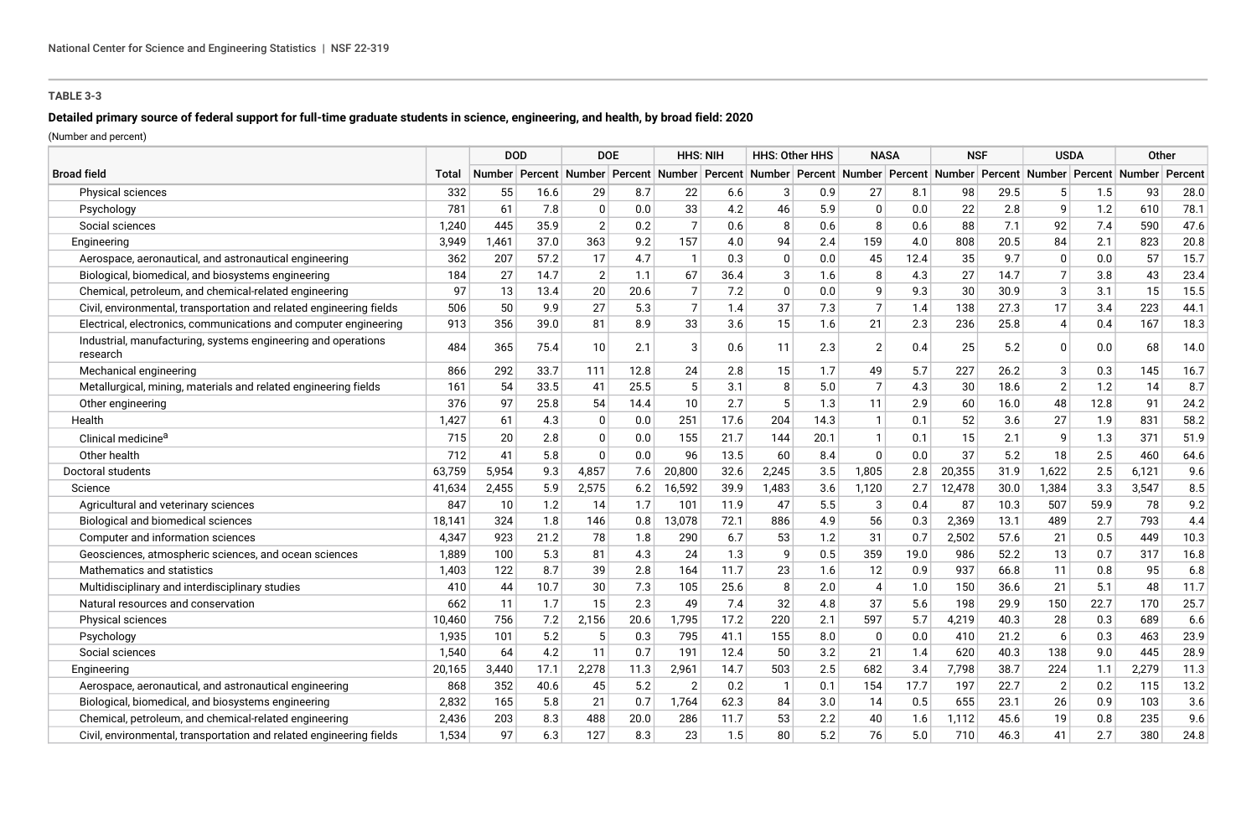## **TABLE 3-3**

# **Detailed primary source of federal support for full-time graduate students in science, engineering, and health, by broad field: 2020**

(Number and percent)

|                                                                           |        | <b>DOD</b> |      | <b>DOE</b>     |         | <b>HHS: NIH</b> |      | <b>HHS: Other HHS</b> |      | <b>NASA</b>                                                                                                     |      | <b>NSF</b> |      | <b>USDA</b>    |      | Other |         |
|---------------------------------------------------------------------------|--------|------------|------|----------------|---------|-----------------|------|-----------------------|------|-----------------------------------------------------------------------------------------------------------------|------|------------|------|----------------|------|-------|---------|
| <b>Broad field</b>                                                        | Total  |            |      |                |         |                 |      |                       |      | Number Percent Number Percent Number Percent Number Percent Number Percent Number Percent Number Percent Number |      |            |      |                |      |       | Percent |
| <b>Physical sciences</b>                                                  | 332    | 55         | 16.6 | 29             | 8.7     | 22              | 6.6  | 3                     | 0.9  | 27                                                                                                              | 8.1  | 98         | 29.5 | 5 <sup>1</sup> | 1.5  | 93    | 28.0    |
| Psychology                                                                | 781    | 61         | 7.8  | 0              | 0.0     | 33              | 4.2  | 46                    | 5.9  | $\mathbf 0$                                                                                                     | 0.0  | 22         | 2.8  | 9              | 1.2  | 610   | 78.1    |
| Social sciences                                                           | 1,240  | 445        | 35.9 | $\overline{2}$ | 0.2     | $\overline{7}$  | 0.6  | 8                     | 0.6  | 8                                                                                                               | 0.6  | 88         | 7.1  | 92             | 7.4  | 590   | 47.6    |
| Engineering                                                               | 3,949  | 1,461      | 37.0 | 363            | 9.2     | 157             | 4.0  | 94                    | 2.4  | 159                                                                                                             | 4.0  | 808        | 20.5 | 84             | 2.1  | 823   | 20.8    |
| Aerospace, aeronautical, and astronautical engineering                    | 362    | 207        | 57.2 | 17             | 4.7     | $\overline{1}$  | 0.3  | $\Omega$              | 0.0  | 45                                                                                                              | 12.4 | 35         | 9.7  | $\Omega$       | 0.0  | 57    | 15.7    |
| Biological, biomedical, and biosystems engineering                        | 184    | 27         | 14.7 | $\overline{2}$ | 1.1     | 67              | 36.4 | 3                     | 1.6  | 8                                                                                                               | 4.3  | 27         | 14.7 | $\overline{7}$ | 3.8  | 43    | 23.4    |
| Chemical, petroleum, and chemical-related engineering                     | 97     | 13         | 13.4 | 20             | 20.6    | $\overline{7}$  | 7.2  | $\Omega$              | 0.0  | 9                                                                                                               | 9.3  | 30         | 30.9 | 3              | 3.1  | 15    | 15.5    |
| Civil, environmental, transportation and related engineering fields       | 506    | 50         | 9.9  | 27             | 5.3     | $\overline{7}$  | 1.4  | 37                    | 7.3  | $\overline{7}$                                                                                                  | 1.4  | 138        | 27.3 | 17             | 3.4  | 223   | 44.1    |
| Electrical, electronics, communications and computer engineering          | 913    | 356        | 39.0 | 81             | 8.9     | 33              | 3.6  | 15                    | 1.6  | 21                                                                                                              | 2.3  | 236        | 25.8 | 4              | 0.4  | 167   | 18.3    |
| Industrial, manufacturing, systems engineering and operations<br>research | 484    | 365        | 75.4 | 10             | 2.1     | 3               | 0.6  | 11                    | 2.3  | $\overline{2}$                                                                                                  | 0.4  | 25         | 5.2  | $\Omega$       | 0.0  | 68    | 14.0    |
| Mechanical engineering                                                    | 866    | 292        | 33.7 | 111            | 12.8    | 24              | 2.8  | 15                    | 1.7  | 49                                                                                                              | 5.7  | 227        | 26.2 | 3              | 0.3  | 145   | 16.7    |
| Metallurgical, mining, materials and related engineering fields           | 161    | 54         | 33.5 | 41             | 25.5    | 5               | 3.1  | 8                     | 5.0  | $\overline{7}$                                                                                                  | 4.3  | 30         | 18.6 | $\overline{2}$ | 1.2  | 14    | 8.7     |
| Other engineering                                                         | 376    | 97         | 25.8 | 54             | 14.4    | 10              | 2.7  | 5                     | 1.3  | 11                                                                                                              | 2.9  | 60         | 16.0 | 48             | 12.8 | 91    | 24.2    |
| Health                                                                    | 1,427  | 61         | 4.3  | 0              | 0.0     | 251             | 17.6 | 204                   | 14.3 | $\mathbf{1}$                                                                                                    | 0.1  | 52         | 3.6  | 27             | 1.9  | 831   | 58.2    |
| Clinical medicine <sup>a</sup>                                            | 715    | 20         | 2.8  | $\Omega$       | 0.0     | 155             | 21.7 | 144                   | 20.1 | $\mathbf{1}$                                                                                                    | 0.1  | 15         | 2.1  | 9              | 1.3  | 371   | 51.9    |
| Other health                                                              | 712    | 41         | 5.8  | $\Omega$       | $0.0\,$ | 96              | 13.5 | 60                    | 8.4  | $\mathbf 0$                                                                                                     | 0.0  | 37         | 5.2  | 18             | 2.5  | 460   | 64.6    |
| Doctoral students                                                         | 63,759 | 5,954      | 9.3  | 4,857          | 7.6     | 20,800          | 32.6 | 2,245                 | 3.5  | 1,805                                                                                                           | 2.8  | 20,355     | 31.9 | 1,622          | 2.5  | 6,121 | 9.6     |
| Science                                                                   | 41,634 | 2,455      | 5.9  | 2,575          | 6.2     | 16,592          | 39.9 | 1,483                 | 3.6  | 1,120                                                                                                           | 2.7  | 12,478     | 30.0 | 1,384          | 3.3  | 3,547 | 8.5     |
| Agricultural and veterinary sciences                                      | 847    | 10         | 1.2  | 14             | 1.7     | 101             | 11.9 | 47                    | 5.5  | $\sqrt{3}$                                                                                                      | 0.4  | 87         | 10.3 | 507            | 59.9 | 78    | 9.2     |
| Biological and biomedical sciences                                        | 18,141 | 324        | 1.8  | 146            | 0.8     | 13,078          | 72.1 | 886                   | 4.9  | 56                                                                                                              | 0.3  | 2,369      | 13.1 | 489            | 2.7  | 793   | 4.4     |
| Computer and information sciences                                         | 4,347  | 923        | 21.2 | 78             | 1.8     | 290             | 6.7  | 53                    | 1.2  | 31                                                                                                              | 0.7  | 2,502      | 57.6 | 21             | 0.5  | 449   | 10.3    |
| Geosciences, atmospheric sciences, and ocean sciences                     | 1,889  | 100        | 5.3  | 81             | 4.3     | 24              | 1.3  | 9                     | 0.5  | 359                                                                                                             | 19.0 | 986        | 52.2 | 13             | 0.7  | 317   | 16.8    |
| Mathematics and statistics                                                | 1,403  | 122        | 8.7  | 39             | 2.8     | 164             | 11.7 | 23                    | 1.6  | 12                                                                                                              | 0.9  | 937        | 66.8 | 11             | 0.8  | 95    | 6.8     |
| Multidisciplinary and interdisciplinary studies                           | 410    | 44         | 10.7 | 30             | 7.3     | 105             | 25.6 | 8                     | 2.0  | 4                                                                                                               | 1.0  | 150        | 36.6 | 21             | 5.1  | 48    | 11.7    |
| Natural resources and conservation                                        | 662    | 11         | 1.7  | 15             | 2.3     | 49              | 7.4  | 32                    | 4.8  | 37                                                                                                              | 5.6  | 198        | 29.9 | 150            | 22.7 | 170   | 25.7    |
| Physical sciences                                                         | 10,460 | 756        | 7.2  | 2,156          | 20.6    | 1,795           | 17.2 | 220                   | 2.1  | 597                                                                                                             | 5.7  | 4,219      | 40.3 | 28             | 0.3  | 689   | 6.6     |
| Psychology                                                                | 1,935  | 101        | 5.2  | 5              | 0.3     | 795             | 41.1 | 155                   | 8.0  | $\mathbf{0}$                                                                                                    | 0.0  | 410        | 21.2 | 6              | 0.3  | 463   | 23.9    |
| Social sciences                                                           | 1,540  | 64         | 4.2  | 11             | 0.7     | 191             | 12.4 | 50                    | 3.2  | 21                                                                                                              | 1.4  | 620        | 40.3 | 138            | 9.0  | 445   | 28.9    |
| Engineering                                                               | 20,165 | 3,440      | 17.1 | 2,278          | 11.3    | 2,961           | 14.7 | 503                   | 2.5  | 682                                                                                                             | 3.4  | 7,798      | 38.7 | 224            | 1.1  | 2,279 | 11.3    |
| Aerospace, aeronautical, and astronautical engineering                    | 868    | 352        | 40.6 | 45             | 5.2     | $\overline{2}$  | 0.2  | $\overline{1}$        | 0.1  | 154                                                                                                             | 17.7 | 197        | 22.7 | $\overline{2}$ | 0.2  | 115   | 13.2    |
| Biological, biomedical, and biosystems engineering                        | 2,832  | 165        | 5.8  | 21             | 0.7     | 1,764           | 62.3 | 84                    | 3.0  | 14                                                                                                              | 0.5  | 655        | 23.1 | 26             | 0.9  | 103   | 3.6     |
| Chemical, petroleum, and chemical-related engineering                     | 2,436  | 203        | 8.3  | 488            | 20.0    | 286             | 11.7 | 53                    | 2.2  | 40                                                                                                              | 1.6  | 1.112      | 45.6 | 19             | 0.8  | 235   | 9.6     |
| Civil, environmental, transportation and related engineering fields       | 1,534  | 97         | 6.3  | 127            | 8.3     | 23              | 1.5  | 80                    | 5.2  | 76                                                                                                              | 5.0  | 710        | 46.3 | 41             | 2.7  | 380   | 24.8    |